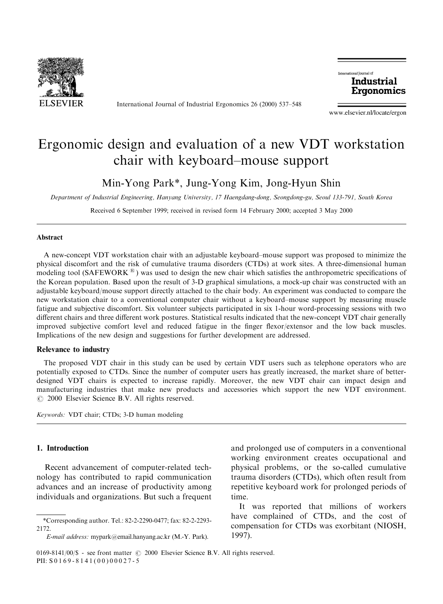

International Journal of Industrial Ergonomics 26 (2000) 537–548

International lournal of **Industrial** Ergonomics

www.elsevier.nl/locate/ergon

# Ergonomic design and evaluation of a new VDT workstation chair with keyboard–mouse support

Min-Yong Park\*, Jung-Yong Kim, Jong-Hyun Shin

Department of Industrial Engineering, Hanyang University, 17 Haengdang-dong, Seongdong-gu, Seoul 133-791, South Korea

Received 6 September 1999; received in revised form 14 February 2000; accepted 3 May 2000

#### Abstract

A new-concept VDT workstation chair with an adjustable keyboard–mouse support was proposed to minimize the physical discomfort and the risk of cumulative trauma disorders (CTDs) at work sites. A three-dimensional human modeling tool (SAFEWORK  $\mathbb{R}$ ) was used to design the new chair which satisfies the anthropometric specifications of the Korean population. Based upon the result of 3-D graphical simulations, a mock-up chair was constructed with an adjustable keyboard/mouse support directly attached to the chair body. An experiment was conducted to compare the new workstation chair to a conventional computer chair without a keyboard–mouse support by measuring muscle fatigue and subjective discomfort. Six volunteer subjects participated in six 1-hour word-processing sessions with two different chairs and three different work postures. Statistical results indicated that the new-concept VDT chair generally improved subjective comfort level and reduced fatigue in the finger flexor/extensor and the low back muscles. Implications of the new design and suggestions for further development are addressed.

#### Relevance to industry

The proposed VDT chair in this study can be used by certain VDT users such as telephone operators who are potentially exposed to CTDs. Since the number of computer users has greatly increased, the market share of betterdesigned VDT chairs is expected to increase rapidly. Moreover, the new VDT chair can impact design and manufacturing industries that make new products and accessories which support the new VDT environment.  $\odot$  2000 Elsevier Science B.V. All rights reserved.

Keywords: VDT chair; CTDs; 3-D human modeling

#### 1. Introduction

Recent advancement of computer-related technology has contributed to rapid communication advances and an increase of productivity among individuals and organizations. But such a frequent

and prolonged use of computers in a conventional working environment creates occupational and physical problems, or the so-called cumulative trauma disorders (CTDs), which often result from repetitive keyboard work for prolonged periods of time.

It was reported that millions of workers have complained of CTDs, and the cost of compensation for CTDs was exorbitant (NIOSH, 1997).

<sup>\*</sup>Corresponding author. Tel.: 82-2-2290-0477; fax: 82-2-2293- 2172.

E-mail address: mypark@email.hanyang.ac.kr (M.-Y. Park).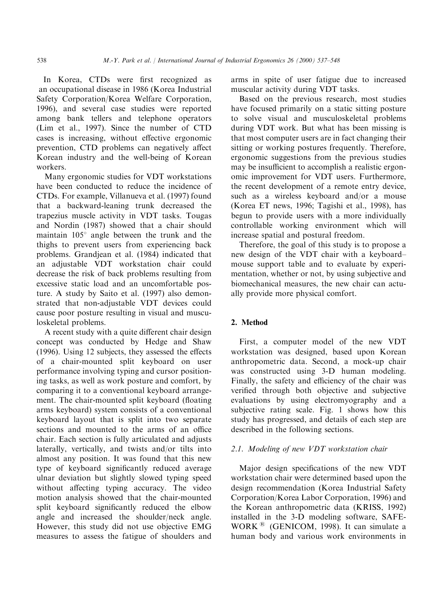In Korea, CTDs were first recognized as an occupational disease in 1986 (Korea Industrial Safety Corporation/Korea Welfare Corporation, 1996), and several case studies were reported among bank tellers and telephone operators (Lim et al., 1997). Since the number of CTD cases is increasing, without effective ergonomic prevention, CTD problems can negatively affect Korean industry and the well-being of Korean workers.

Many ergonomic studies for VDT workstations have been conducted to reduce the incidence of CTDs. For example, Villanueva et al. (1997) found that a backward-leaning trunk decreased the trapezius muscle activity in VDT tasks. Tougas and Nordin (1987) showed that a chair should maintain  $105^\circ$  angle between the trunk and the thighs to prevent users from experiencing back problems. Grandjean et al. (1984) indicated that an adjustable VDT workstation chair could decrease the risk of back problems resulting from excessive static load and an uncomfortable posture. A study by Saito et al. (1997) also demonstrated that non-adjustable VDT devices could cause poor posture resulting in visual and musculoskeletal problems.

A recent study with a quite different chair design concept was conducted by Hedge and Shaw (1996). Using 12 subjects, they assessed the effects of a chair-mounted split keyboard on user performance involving typing and cursor positioning tasks, as well as work posture and comfort, by comparing it to a conventional keyboard arrangement. The chair-mounted split keyboard (floating arms keyboard) system consists of a conventional keyboard layout that is split into two separate sections and mounted to the arms of an office chair. Each section is fully articulated and adjusts laterally, vertically, and twists and/or tilts into almost any position. It was found that this new type of keyboard significantly reduced average ulnar deviation but slightly slowed typing speed without affecting typing accuracy. The video motion analysis showed that the chair-mounted split keyboard significantly reduced the elbow angle and increased the shoulder/neck angle. However, this study did not use objective EMG measures to assess the fatigue of shoulders and

arms in spite of user fatigue due to increased muscular activity during VDT tasks.

Based on the previous research, most studies have focused primarily on a static sitting posture to solve visual and musculoskeletal problems during VDT work. But what has been missing is that most computer users are in fact changing their sitting or working postures frequently. Therefore, ergonomic suggestions from the previous studies may be insufficient to accomplish a realistic ergonomic improvement for VDT users. Furthermore, the recent development of a remote entry device, such as a wireless keyboard and/or a mouse (Korea ET news, 1996; Tagishi et al., 1998), has begun to provide users with a more individually controllable working environment which will increase spatial and postural freedom.

Therefore, the goal of this study is to propose a new design of the VDT chair with a keyboard– mouse support table and to evaluate by experimentation, whether or not, by using subjective and biomechanical measures, the new chair can actually provide more physical comfort.

### 2. Method

First, a computer model of the new VDT workstation was designed, based upon Korean anthropometric data. Second, a mock-up chair was constructed using 3-D human modeling. Finally, the safety and efficiency of the chair was verified through both objective and subjective evaluations by using electromyography and a subjective rating scale. Fig. 1 shows how this study has progressed, and details of each step are described in the following sections.

## 2.1. Modeling of new VDT workstation chair

Major design specifications of the new VDT workstation chair were determined based upon the design recommendation (Korea Industrial Safety Corporation/Korea Labor Corporation, 1996) and the Korean anthropometric data (KRISS, 1992) installed in the 3-D modeling software, SAFE-WORK  $\textsuperscript{B}$  (GENICOM, 1998). It can simulate a human body and various work environments in